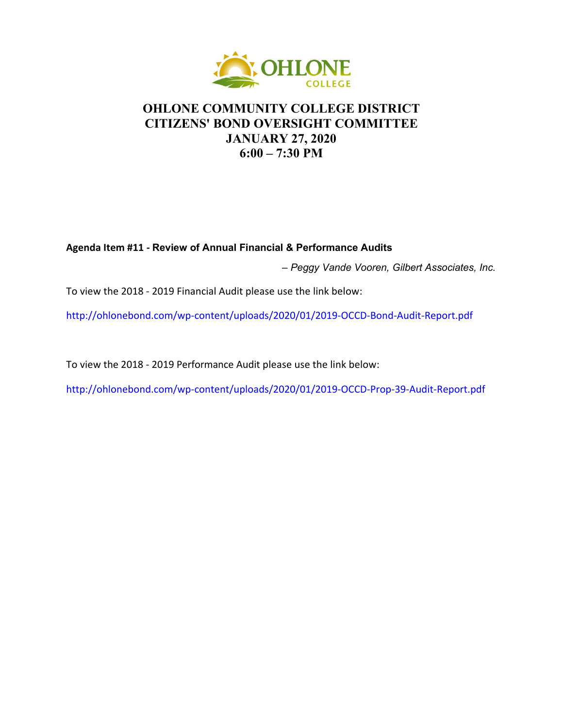

## **OHLONE COMMUNITY COLLEGE DISTRICT CITIZENS' BOND OVERSIGHT COMMITTEE JANUARY 27, 2020 6:00 – 7:30 PM**

## **Agenda Item #11 - Review of Annual Financial & Performance Audits**

– *Peggy Vande Vooren, Gilbert Associates, Inc.*

To view the 2018 - 2019 Financial Audit please use the link below:

[http://ohlonebond.com/wp-content/uploads/2020/01/2019-OCCD-Bond-Audit-Report.pdf](https://www.ohlone.edu/sites/default/files/groups/Board_of_Trustees/2019/121119/31c-ohloneopebtrustauditreport201819.pdf)

To view the 2018 - 2019 Performance Audit please use the link below:

<http://ohlonebond.com/wp-content/uploads/2020/01/2019-OCCD-Prop-39-Audit-Report.pdf>